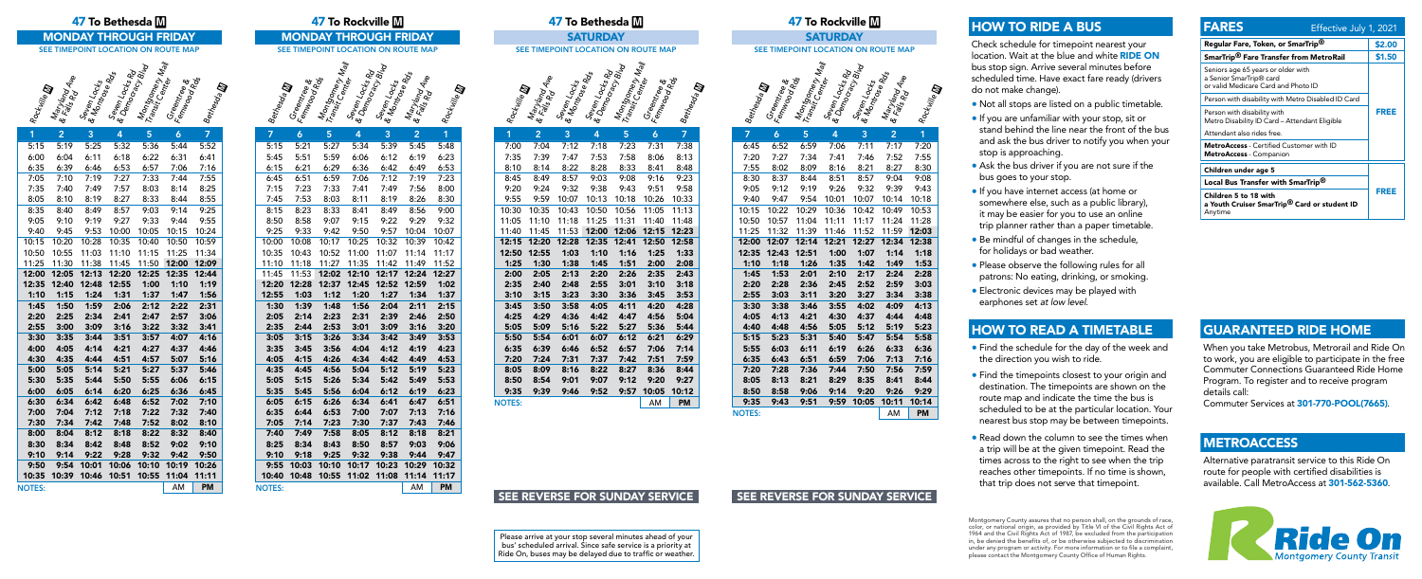Please arrive at your stop several minutes ahead of your bus' scheduled arrival. Since safe service is a priority at Ride On, buses may be delayed due to traffic or weather.







| 1             | $\overline{2}$ | 3     | 4                  | 5           | 6             | 7         |
|---------------|----------------|-------|--------------------|-------------|---------------|-----------|
| 5:15          | 5:19           | 5:25  | 5:32               | 5:36        | 5:44          | 5:52      |
| 6:00          | 6:04           | 6:11  | 6:18               | 6:22        | 6:31          | 6:41      |
| 6:35          | 6:39           | 6:46  | 6:53               | 6:57        | 7:06          | 7:16      |
| 7:05          | 7:10           | 7:19  | 7:27               | 7:33        | 7:44          | 7:55      |
| 7:35          | 7:40           | 7:49  | 7:57               | 8:03        | 8:14          | 8:25      |
| 8:05          | 8:10           | 8:19  | 8:27               |             | 8:33 8:44     | 8:55      |
| 8:35          | 8:40           | 8:49  | 8:57               | 9:03        | 9:14          | 9:25      |
| 9:05          | 9:10           | 9:19  | 9:27               | 9:33        | 9:44          | 9:55      |
| 9:40          | 9:45           | 9:53  | 10:00              | 10:05       | 10:15         | 10:24     |
| 10:15         | 10:20          | 10:28 | 10:35              | 10:40       | 10:50         | 10:59     |
| 10:50         | 10:55          | 11:03 | 11:10              | 11:15       | 11:25         | 11:34     |
| 11:25         | 11:30          | 11:38 |                    | 11:45 11:50 | 12:00         | 12:09     |
| 12:00         | 12:05          | 12:13 | 12:20              | 12:25       | 12:35         | 12:44     |
| 12:35         | 12:40          | 12:48 | 12:55              | 1:00        | 1:10          | 1:19      |
| 1:10          | 1:15           | 1:24  | 1:31               | 1:37        | 1:47          | 1:56      |
| 1:45          | 1:50           | 1:59  | 2:06               | 2:12        | 2:22          | 2:31      |
| 2:20          | 2:25           | 2:34  | 2:41               | 2:47        | 2:57          | 3:06      |
| 2:55          | 3:00           | 3:09  | 3:16               | 3:22        | 3:32          | 3:41      |
| 3:30          | 3:35           | 3:44  | 3:51               | 3:57        | 4:07          | 4:16      |
| 4:00          | 4:05           | 4:14  | 4:21               | 4:27        | 4:37          | 4:46      |
| 4:30          |                |       | 4:35   4:44   4:51 |             | 4:57 5:07     | 5:16      |
| 5:00          | 5:05           | 5:14  | 5:21               |             | $5:27$ $5:37$ | 5:46      |
| 5:30          | 5:35           | 5:44  | 5:50               | 5:55        | 6:06          | 6:15      |
| 6:00          | 6:05           | 6:14  | 6:20               | 6:25        | 6:36          | 6:45      |
| 6:30          | 6:34           | 6:42  | 6:48               | 6:52        | 7:02          | 7:10      |
| 7:00          | 7:04           | 7:12  | 7:18               | 7:22        | 7:32          | 7:40      |
| 7:30          | 7:34           | 7:42  | 7:48               | 7:52        | 8:02          | 8:10      |
| 8:00          | 8:04           | 8:12  | 8:18               | 8:22        | 8:32          | 8:40      |
| 8:30          | 8:34           | 8:42  | 8:48               | 8:52        | 9:02          | 9:10      |
| 9:10          | 9:14           | 9:22  | 9:28               | 9:32        | 9:42          | 9:50      |
| 9:50          | 9:54           | 10:01 | 10:06              | 10:10       | 10:19         | 10:26     |
| 10:35         | 10:39          | 10:46 | 10:51              | 10:55       | 11:04         | 11:11     |
| <b>NOTES:</b> |                |       |                    |             | AM            | <b>PM</b> |

| 7:12<br>7:18<br>7:31<br>7:00<br>7:04<br>7:23<br>7:38<br>7:47<br>7:53<br>7:58<br>8:13<br>7:35<br>7:39<br>8:06<br>8:14<br>8:28<br>8:33<br>8:41<br>8:48<br>8:10<br>8:22<br>9:03<br>9:08<br>9:16<br>9:23<br>8:45<br>8:49<br>8:57<br>9:32<br>$9:38$ $9:43$<br>9:51<br>9:20<br>9:24<br>9:58<br>9:55<br>10:07<br>10:13<br>10:18<br>10:33<br>9:59<br>10:26<br>10:43<br>11:05<br>10:30<br>10:35<br>10:50<br>10:56<br>11:13<br>11:18<br>11:25<br>11:05<br>11:10<br>11:31<br>11:40<br>11:48<br>12:00 12:06 12:15<br>11:40<br>11:45<br>11:53<br>12:23<br>12:20 12:28 12:35 12:41<br>12:50<br>12:15<br>12:58<br>12:50<br>1:10<br>1:16<br>1:25<br>1:33<br>1:25<br>1:51<br>2:00<br>2:08<br>2:13<br>2:20<br>2:26<br>2:43<br>2:00<br>2:05<br>2:35<br>2:35<br>2:40 2:48<br>2:55<br>3:01<br>3:10<br>3:18<br>$3:15$ $3:23$<br>3:30<br>3:36<br>3:45<br>3:53<br>3:10<br>3:58<br>4:05<br>4:28<br>3:45<br>3:50<br>4:11<br>4:20<br>4:29<br>4:36<br>4:42<br>5:04<br>4:25<br>4:47<br>4:56<br>5:44<br>5:05<br>5:09<br>5:16<br>5:22<br>5:36<br>5:27<br>6:07<br>5:50<br>5:54<br>6:01<br>6:12<br>6:21<br>6:29<br>7:14<br>6:46<br>6:52<br>6:57<br>7:06<br>6:35<br>6:39<br>7:20<br>7:24<br>7:31<br>7:37<br>7:42<br>7:51<br>7:59<br>8:05<br>8:09<br>8:16<br>8:22<br>8:27<br>8:36<br>8:44<br>8:50<br>8:54<br>9:01<br>9:07<br>9:20<br>9:27<br>9:12<br>9:52<br>10:05<br>10:12<br>9:39<br>9:46<br>9:57<br>9:35<br><b>PM</b><br><b>NOTES:</b><br>AM | 1 | $\overline{2}$ | 3. | 4 | 5. | 6 | 7. |
|--------------------------------------------------------------------------------------------------------------------------------------------------------------------------------------------------------------------------------------------------------------------------------------------------------------------------------------------------------------------------------------------------------------------------------------------------------------------------------------------------------------------------------------------------------------------------------------------------------------------------------------------------------------------------------------------------------------------------------------------------------------------------------------------------------------------------------------------------------------------------------------------------------------------------------------------------------------------------------------------------------------------------------------------------------------------------------------------------------------------------------------------------------------------------------------------------------------------------------------------------------------------------------------------------------------------------------------------------------------------------------------------------------------|---|----------------|----|---|----|---|----|
|                                                                                                                                                                                                                                                                                                                                                                                                                                                                                                                                                                                                                                                                                                                                                                                                                                                                                                                                                                                                                                                                                                                                                                                                                                                                                                                                                                                                              |   |                |    |   |    |   |    |
|                                                                                                                                                                                                                                                                                                                                                                                                                                                                                                                                                                                                                                                                                                                                                                                                                                                                                                                                                                                                                                                                                                                                                                                                                                                                                                                                                                                                              |   |                |    |   |    |   |    |
|                                                                                                                                                                                                                                                                                                                                                                                                                                                                                                                                                                                                                                                                                                                                                                                                                                                                                                                                                                                                                                                                                                                                                                                                                                                                                                                                                                                                              |   |                |    |   |    |   |    |
|                                                                                                                                                                                                                                                                                                                                                                                                                                                                                                                                                                                                                                                                                                                                                                                                                                                                                                                                                                                                                                                                                                                                                                                                                                                                                                                                                                                                              |   |                |    |   |    |   |    |
|                                                                                                                                                                                                                                                                                                                                                                                                                                                                                                                                                                                                                                                                                                                                                                                                                                                                                                                                                                                                                                                                                                                                                                                                                                                                                                                                                                                                              |   |                |    |   |    |   |    |
|                                                                                                                                                                                                                                                                                                                                                                                                                                                                                                                                                                                                                                                                                                                                                                                                                                                                                                                                                                                                                                                                                                                                                                                                                                                                                                                                                                                                              |   |                |    |   |    |   |    |
|                                                                                                                                                                                                                                                                                                                                                                                                                                                                                                                                                                                                                                                                                                                                                                                                                                                                                                                                                                                                                                                                                                                                                                                                                                                                                                                                                                                                              |   |                |    |   |    |   |    |
|                                                                                                                                                                                                                                                                                                                                                                                                                                                                                                                                                                                                                                                                                                                                                                                                                                                                                                                                                                                                                                                                                                                                                                                                                                                                                                                                                                                                              |   |                |    |   |    |   |    |
|                                                                                                                                                                                                                                                                                                                                                                                                                                                                                                                                                                                                                                                                                                                                                                                                                                                                                                                                                                                                                                                                                                                                                                                                                                                                                                                                                                                                              |   |                |    |   |    |   |    |
|                                                                                                                                                                                                                                                                                                                                                                                                                                                                                                                                                                                                                                                                                                                                                                                                                                                                                                                                                                                                                                                                                                                                                                                                                                                                                                                                                                                                              |   |                |    |   |    |   |    |
|                                                                                                                                                                                                                                                                                                                                                                                                                                                                                                                                                                                                                                                                                                                                                                                                                                                                                                                                                                                                                                                                                                                                                                                                                                                                                                                                                                                                              |   |                |    |   |    |   |    |
|                                                                                                                                                                                                                                                                                                                                                                                                                                                                                                                                                                                                                                                                                                                                                                                                                                                                                                                                                                                                                                                                                                                                                                                                                                                                                                                                                                                                              |   |                |    |   |    |   |    |
|                                                                                                                                                                                                                                                                                                                                                                                                                                                                                                                                                                                                                                                                                                                                                                                                                                                                                                                                                                                                                                                                                                                                                                                                                                                                                                                                                                                                              |   |                |    |   |    |   |    |
|                                                                                                                                                                                                                                                                                                                                                                                                                                                                                                                                                                                                                                                                                                                                                                                                                                                                                                                                                                                                                                                                                                                                                                                                                                                                                                                                                                                                              |   |                |    |   |    |   |    |
|                                                                                                                                                                                                                                                                                                                                                                                                                                                                                                                                                                                                                                                                                                                                                                                                                                                                                                                                                                                                                                                                                                                                                                                                                                                                                                                                                                                                              |   |                |    |   |    |   |    |
|                                                                                                                                                                                                                                                                                                                                                                                                                                                                                                                                                                                                                                                                                                                                                                                                                                                                                                                                                                                                                                                                                                                                                                                                                                                                                                                                                                                                              |   |                |    |   |    |   |    |
|                                                                                                                                                                                                                                                                                                                                                                                                                                                                                                                                                                                                                                                                                                                                                                                                                                                                                                                                                                                                                                                                                                                                                                                                                                                                                                                                                                                                              |   |                |    |   |    |   |    |
|                                                                                                                                                                                                                                                                                                                                                                                                                                                                                                                                                                                                                                                                                                                                                                                                                                                                                                                                                                                                                                                                                                                                                                                                                                                                                                                                                                                                              |   |                |    |   |    |   |    |
|                                                                                                                                                                                                                                                                                                                                                                                                                                                                                                                                                                                                                                                                                                                                                                                                                                                                                                                                                                                                                                                                                                                                                                                                                                                                                                                                                                                                              |   |                |    |   |    |   |    |
|                                                                                                                                                                                                                                                                                                                                                                                                                                                                                                                                                                                                                                                                                                                                                                                                                                                                                                                                                                                                                                                                                                                                                                                                                                                                                                                                                                                                              |   |                |    |   |    |   |    |
|                                                                                                                                                                                                                                                                                                                                                                                                                                                                                                                                                                                                                                                                                                                                                                                                                                                                                                                                                                                                                                                                                                                                                                                                                                                                                                                                                                                                              |   |                |    |   |    |   |    |
|                                                                                                                                                                                                                                                                                                                                                                                                                                                                                                                                                                                                                                                                                                                                                                                                                                                                                                                                                                                                                                                                                                                                                                                                                                                                                                                                                                                                              |   |                |    |   |    |   |    |
|                                                                                                                                                                                                                                                                                                                                                                                                                                                                                                                                                                                                                                                                                                                                                                                                                                                                                                                                                                                                                                                                                                                                                                                                                                                                                                                                                                                                              |   |                |    |   |    |   |    |
|                                                                                                                                                                                                                                                                                                                                                                                                                                                                                                                                                                                                                                                                                                                                                                                                                                                                                                                                                                                                                                                                                                                                                                                                                                                                                                                                                                                                              |   |                |    |   |    |   |    |
|                                                                                                                                                                                                                                                                                                                                                                                                                                                                                                                                                                                                                                                                                                                                                                                                                                                                                                                                                                                                                                                                                                                                                                                                                                                                                                                                                                                                              |   |                |    |   |    |   |    |

| 47 To Bethesda $\blacksquare$                                                                                                                                                                                                                                                                                                                                                                                                                                                                                                                                                                                                                                            | 47 To Rockville M                                                                                                                                                                                                                                                                                                                                                                                                                                                                                                                                                                                                                                                                                 | 47 To Bethesda M                                                                                                                                                                                                                                                                                                                                                                                                                                                                                                                                                                                                                                                                                           | 47 To Rockville M                                                                                                                                                                                                                                                                                                                                                                                                                                                                                                                                                                                                             |  |  |
|--------------------------------------------------------------------------------------------------------------------------------------------------------------------------------------------------------------------------------------------------------------------------------------------------------------------------------------------------------------------------------------------------------------------------------------------------------------------------------------------------------------------------------------------------------------------------------------------------------------------------------------------------------------------------|---------------------------------------------------------------------------------------------------------------------------------------------------------------------------------------------------------------------------------------------------------------------------------------------------------------------------------------------------------------------------------------------------------------------------------------------------------------------------------------------------------------------------------------------------------------------------------------------------------------------------------------------------------------------------------------------------|------------------------------------------------------------------------------------------------------------------------------------------------------------------------------------------------------------------------------------------------------------------------------------------------------------------------------------------------------------------------------------------------------------------------------------------------------------------------------------------------------------------------------------------------------------------------------------------------------------------------------------------------------------------------------------------------------------|-------------------------------------------------------------------------------------------------------------------------------------------------------------------------------------------------------------------------------------------------------------------------------------------------------------------------------------------------------------------------------------------------------------------------------------------------------------------------------------------------------------------------------------------------------------------------------------------------------------------------------|--|--|
| <b>MONDAY THROUGH FRIDAY</b>                                                                                                                                                                                                                                                                                                                                                                                                                                                                                                                                                                                                                                             | <b>MONDAY THROUGH FRIDAY</b>                                                                                                                                                                                                                                                                                                                                                                                                                                                                                                                                                                                                                                                                      | <b>SATURDAY</b>                                                                                                                                                                                                                                                                                                                                                                                                                                                                                                                                                                                                                                                                                            | <b>SATURDAY</b>                                                                                                                                                                                                                                                                                                                                                                                                                                                                                                                                                                                                               |  |  |
| SEE TIMEPOINT LOCATION ON ROUTE MAP                                                                                                                                                                                                                                                                                                                                                                                                                                                                                                                                                                                                                                      | SEE TIMEPOINT LOCATION ON ROUTE MAP                                                                                                                                                                                                                                                                                                                                                                                                                                                                                                                                                                                                                                                               | SEE TIMEPOINT LOCATION ON ROUTE MAP                                                                                                                                                                                                                                                                                                                                                                                                                                                                                                                                                                                                                                                                        | SEE TIMEPOINT LOCATION ON ROUTE MAP                                                                                                                                                                                                                                                                                                                                                                                                                                                                                                                                                                                           |  |  |
|                                                                                                                                                                                                                                                                                                                                                                                                                                                                                                                                                                                                                                                                          |                                                                                                                                                                                                                                                                                                                                                                                                                                                                                                                                                                                                                                                                                                   |                                                                                                                                                                                                                                                                                                                                                                                                                                                                                                                                                                                                                                                                                                            |                                                                                                                                                                                                                                                                                                                                                                                                                                                                                                                                                                                                                               |  |  |
| Montgomery May<br><b>Seven Locks Rd</b><br>Le Democracks Rd<br><sup>Seven Locks</sup> Blud<br><b>Seven Locks</b><br>  & Montr <sub>ocks</sub><br>  A Montr <sub>oce Ros</sub><br>Maryland<br>& Falyland<br><sup>Ralls</sup> Rd Ale<br>Greentree &<br>Ferningod Roc<br>Bethesda <b>ID</b><br><b>Malling</b>                                                                                                                                                                                                                                                                                                                                                               | Montgomery Mall<br>Transit Center Mall<br><b>SevenLocks Rd</b><br>Ennocres Rd<br><b>Seven Locks</b><br>  & Montrocks<br>Maryland<br>& Faryland<br><sup>Galls</sup> Rd Ale<br><b>Greentree &amp;</b><br>Ferningoa Ros<br>Bethesda <b>ID</b><br>Rockwille <b>D</b>                                                                                                                                                                                                                                                                                                                                                                                                                                  | Montgoney<br>Tansit Geney Mall<br><b>SevenLocks Rd</b><br>Ennocres Rd<br><b>Seven Locks</b><br>  & Montrocks<br>Maryland<br>& Falyland<br><sup>Maryl</sup> and Ale<br>Greentee &<br>Ferninge &<br>Bethesda <b>ID</b><br>Rockville <b>D</b>                                                                                                                                                                                                                                                                                                                                                                                                                                                                 | Montgomery Nall<br><b>Seven Locks Rd</b><br>Le Democracks Rd<br>Mondage Blud<br><b>Seven Locks</b><br>La Montrocks<br><b>Greentree</b><br>Ferningere<br>Maryland<br>& Fall and Ave<br>Bethesda <b>ID</b>                                                                                                                                                                                                                                                                                                                                                                                                                      |  |  |
| 2 <sup>1</sup><br>$\overline{3}$<br>5 <sub>5</sub><br>$\overline{7}$<br>4<br>$\mathbf{6}$                                                                                                                                                                                                                                                                                                                                                                                                                                                                                                                                                                                | $5\phantom{1}$<br>$\overline{3}$<br>$\overline{2}$<br>7<br>6<br>4                                                                                                                                                                                                                                                                                                                                                                                                                                                                                                                                                                                                                                 | $\overline{7}$<br>$\overline{2}$<br>$\overline{3}$<br>5 <sub>5</sub><br>$\boldsymbol{\Lambda}$<br>6                                                                                                                                                                                                                                                                                                                                                                                                                                                                                                                                                                                                        | 5<br>3<br>$\overline{2}$<br>7<br>6                                                                                                                                                                                                                                                                                                                                                                                                                                                                                                                                                                                            |  |  |
| 5:32<br>5:36<br>5:52<br>15<br>5:19<br>5:25<br>5:44<br>00<br>6:22<br>6:04<br>6:18<br>6:31<br>6:11<br>6:41<br>6:46<br>6:53<br>6:57<br>7:06<br>35<br>6:39<br>7:16<br>7:27<br>7:33<br>7:44<br>7:55<br>05<br>7:10<br>7:19<br>7:49<br>7:57<br>8:03<br>8:25<br>35<br>7:40<br>8:14<br>8:19<br>8:27<br>8:33<br>8:55<br>05<br>8:10<br>8:44<br>8:57<br>9:03<br>35<br>8:49<br>9:14<br>9:25<br>8:40<br>9:19<br>9:27<br>9:33<br>9:44<br>05<br>9:10<br>9:55<br>40<br>9:53 10:00<br>10:05<br>10:15<br>10:24<br>9:45<br>10:20<br>10:28<br>10:35<br>10:40<br>10:50<br>10:59<br>15<br>11:03 11:10<br>50<br>10:55<br>11:15 11:25<br>11:34<br>25 11:30<br>11:38 11:45<br>11:50 12:00<br>12:09 | 5:27<br>5:39<br>5:21<br>5:34<br>5:45<br>5:15<br>5:48<br>5:51<br>5:59<br>6:06<br>6:12<br>6:19<br>6:23<br>5:45<br>6:21<br>6:29<br>6:36<br>6:53<br>6:15<br>6:42<br>6:49<br>6:59<br>7:06<br>7:12<br>7:23<br>6:51<br>7:19<br>6:45<br>7:23<br>7:33<br>7:41<br>7:56<br>7:15<br>7:49<br>8:00<br>7:53<br>8:03<br>8:11<br>8:19<br>8:26<br>8:30<br>7:45<br>8:23<br>8:33<br>8:56<br>8:41<br>8:49<br>9:00<br>8:15<br>9:15<br>9:22<br>9:29<br>9:32<br>8:50<br>8:58<br>9:07<br>9:33<br>9:42<br>9:50<br>9:57<br>10:04<br>10:07<br>9:25<br>10:08<br>10:17<br>10:25<br>10:32<br>10:39<br>10:42<br>10:00<br>10:52 11:00<br>10:43<br>11:07 11:14<br>11:17<br>10:35<br>11:18 11:27 11:35 11:42 11:49<br>11:52<br>11:10 | 7:23<br>7:04<br>7:12<br>7:18<br>7:31<br>7:38<br>7:00<br>7:47<br>7:58<br>7:39<br>7:53<br>8:06<br>8:13<br>7:35<br>8:22<br>8:28<br>8:33<br>8:48<br>8:10<br>8:14<br>8:41<br>8:57<br>9:03<br>9:23<br>8:49<br>9:08<br>9:16<br>8:45<br>9:20<br>9:32<br>9:38<br>9:43<br>9:51<br>9:58<br>9:24<br>10:07<br>10:13<br>10:26<br>10:33<br>9:55<br>9:59<br>10:18<br>10:35<br>10:43<br>10:50<br>10:56<br>10:30<br>11:05<br>11:13<br>11:25 11:31<br>11:40<br>11:05<br>11:10<br>11:18<br>11:48<br>11:40 11:45 11:53<br>12:00 12:06 12:15 12:23<br>12:20<br>12:28<br>12:35<br>12:41<br>12:50<br>12:15<br>12:58<br>12:50 12:55<br>1:03<br>1:16<br>1:25<br>1:33<br>1:10<br>1:38<br>1:51<br>2:00<br>2:08<br>1:25<br>1:30<br>1:45 | 6:52<br>6:59<br>7:11<br>7:06<br>7:17<br>6:45<br>7:27<br>7:46<br>7:34<br>7:52<br>7:20<br>7:41<br>8:02<br>8:09<br>8:16<br>8:21<br>8:27<br>7:55<br>8:37<br>8:57<br>9:04<br>8:30<br>8:44<br>8:51<br>9:12<br>9:19<br>9:26<br>9:32<br>9:39<br>9:05<br>9:47<br>9:54<br>10:07<br>$10:14$ 1<br>9:40<br>10:01<br>10:22<br>10:29<br>10:36<br>10:42<br>10:49<br>10:15<br>10:57<br>11:04<br>11:24<br>10:50<br>11:11<br>11:17<br>11:32<br>11:39 11:46<br>11:52<br>11:59 1<br>11:25<br>12:07<br>12:14<br>12:34<br>12:00<br>12:21<br>12:27<br>12:35<br>12:43<br>12:51<br>1:00<br>1:07<br>1:14<br>1:18<br>1:26<br>1:35<br>1:42<br>1:49<br>1:10 |  |  |
| 12:13 12:20<br>00 12:05<br>12:25<br>12:35<br>12:44                                                                                                                                                                                                                                                                                                                                                                                                                                                                                                                                                                                                                       | 11:53 12:02 12:10 12:17 12:24<br>12:27<br>11:45                                                                                                                                                                                                                                                                                                                                                                                                                                                                                                                                                                                                                                                   | 2:05<br>2:13<br>2:20<br>2:26<br>2:35<br>2:43<br>2:00                                                                                                                                                                                                                                                                                                                                                                                                                                                                                                                                                                                                                                                       | 1:53<br>2:01<br>2:10<br>2:17<br>2:24<br>1:45                                                                                                                                                                                                                                                                                                                                                                                                                                                                                                                                                                                  |  |  |
| 35 12:40<br>12:48 12:55<br>1:00<br>1:10<br>1:19<br>1:24<br>1:31<br>1:37                                                                                                                                                                                                                                                                                                                                                                                                                                                                                                                                                                                                  | 12:28 12:37 12:45 12:52 12:59<br>12:20<br>1:02<br>1:03<br>1:27<br>1:34                                                                                                                                                                                                                                                                                                                                                                                                                                                                                                                                                                                                                            | 2:48<br>2:55<br>3:01<br>3:10<br>2:35<br>2:40<br>3:18<br>3:23<br>3:30<br>3:36<br>3:45                                                                                                                                                                                                                                                                                                                                                                                                                                                                                                                                                                                                                       | 2:28<br>2:36<br>2:45<br>2:52<br>2:59<br>2:20<br>3:03<br>3:20<br>3:27<br>3:34                                                                                                                                                                                                                                                                                                                                                                                                                                                                                                                                                  |  |  |
| 1:15<br>1:47<br>1:56<br>10<br>1:59<br>2:06<br>2:12<br>2:22<br>2:31<br>45<br>1:50                                                                                                                                                                                                                                                                                                                                                                                                                                                                                                                                                                                         | 1:12<br>1:20<br>1:37<br>12:55<br>1:39<br>2:04<br>2:11<br>2:15<br>1:48<br>1:56<br>1:30                                                                                                                                                                                                                                                                                                                                                                                                                                                                                                                                                                                                             | 3:10<br>3:15<br>3:53<br>3:58<br>4:11<br>4:20<br>4:28<br>3:45<br>3:50<br>4:05                                                                                                                                                                                                                                                                                                                                                                                                                                                                                                                                                                                                                               | 2:55<br>3:11<br>3:38<br>4:02<br>4:09<br>3:30<br>3:46<br>3:55                                                                                                                                                                                                                                                                                                                                                                                                                                                                                                                                                                  |  |  |
| 2:25<br>2:34<br>2:41<br>2:47<br>2:57<br>3:06<br>20                                                                                                                                                                                                                                                                                                                                                                                                                                                                                                                                                                                                                       | 2:23<br>2:31<br>2:39<br>2:46<br>2:05<br>2:14<br>2:50                                                                                                                                                                                                                                                                                                                                                                                                                                                                                                                                                                                                                                              | 4:36<br>4:47<br>4:56<br>4:25<br>4:29<br>4:42<br>5:04                                                                                                                                                                                                                                                                                                                                                                                                                                                                                                                                                                                                                                                       | 4:13<br>4:21<br>4:30<br>4:37<br>4:05<br>4:44                                                                                                                                                                                                                                                                                                                                                                                                                                                                                                                                                                                  |  |  |
| 3:09<br>3:16<br>3:22<br>3:32<br>55<br>3:00<br>3:41                                                                                                                                                                                                                                                                                                                                                                                                                                                                                                                                                                                                                       | 2:53<br>3:01<br>3:16<br>2:35<br>2:44<br>3:09<br>3:20                                                                                                                                                                                                                                                                                                                                                                                                                                                                                                                                                                                                                                              | 5:16<br>5:22<br>5:27<br>5:36<br>5:44<br>5:05<br>5:09                                                                                                                                                                                                                                                                                                                                                                                                                                                                                                                                                                                                                                                       | 4:48<br>4:56<br>5:05<br>5:12<br>5:19<br>4:40                                                                                                                                                                                                                                                                                                                                                                                                                                                                                                                                                                                  |  |  |
| 3:57<br>3:44<br>3:51<br>4:07<br>4:16<br>30<br>3:35                                                                                                                                                                                                                                                                                                                                                                                                                                                                                                                                                                                                                       | 3:15<br>3:26<br>3:34<br>3:42<br>3:49<br>3:05<br>3:53                                                                                                                                                                                                                                                                                                                                                                                                                                                                                                                                                                                                                                              | 5:54<br>6:01<br>6:07<br>6:12<br>6:21<br>6:29<br>5:50                                                                                                                                                                                                                                                                                                                                                                                                                                                                                                                                                                                                                                                       | 5:23<br>5:31<br>5:40<br>5:47<br>5:54<br>5:15                                                                                                                                                                                                                                                                                                                                                                                                                                                                                                                                                                                  |  |  |
| 4:21<br>4:27<br>4:37<br>00<br>4:05<br>4:14<br>4:46                                                                                                                                                                                                                                                                                                                                                                                                                                                                                                                                                                                                                       | 3:56<br>4:04<br>4:19<br>3:35<br>3:45<br>4:12<br>4:23                                                                                                                                                                                                                                                                                                                                                                                                                                                                                                                                                                                                                                              | 6:52<br>7:06<br>6:35<br>6:39<br>6:46<br>6:57<br>7:14                                                                                                                                                                                                                                                                                                                                                                                                                                                                                                                                                                                                                                                       | 6:03<br>6:26<br>6:11<br>6:19<br>6:33<br>5:55                                                                                                                                                                                                                                                                                                                                                                                                                                                                                                                                                                                  |  |  |
| 4:51<br>4:35<br>4:44<br>4:57<br>5:07<br>5:16<br>30                                                                                                                                                                                                                                                                                                                                                                                                                                                                                                                                                                                                                       | 4:26<br>4:05<br>4:15<br>4:34<br>4:42<br>4:49<br>4:53                                                                                                                                                                                                                                                                                                                                                                                                                                                                                                                                                                                                                                              | 7:42<br>7:51<br>7:24<br>7:31<br>7:37<br>7:59<br>7:20                                                                                                                                                                                                                                                                                                                                                                                                                                                                                                                                                                                                                                                       | 6:43<br>6:35<br>6:51<br>6:59<br>7:06<br>7:13                                                                                                                                                                                                                                                                                                                                                                                                                                                                                                                                                                                  |  |  |
| 5:21<br>5:27<br>5:05<br>5:14<br>5:37<br>5:46<br>00                                                                                                                                                                                                                                                                                                                                                                                                                                                                                                                                                                                                                       | 4:56<br>5:12<br>5:19<br>4:35<br>4:45<br>5:04<br>5:23                                                                                                                                                                                                                                                                                                                                                                                                                                                                                                                                                                                                                                              | 8:22<br>8:27<br>8:36<br>8:09<br>8:16<br>8:44<br>8:05                                                                                                                                                                                                                                                                                                                                                                                                                                                                                                                                                                                                                                                       | 7:28<br>7:36<br>7:56<br>7:20<br>7:44<br>7:50                                                                                                                                                                                                                                                                                                                                                                                                                                                                                                                                                                                  |  |  |
| 5:55<br>5:35<br>5:44<br>5:50<br>6:06<br>6:15<br>30                                                                                                                                                                                                                                                                                                                                                                                                                                                                                                                                                                                                                       | 5:34<br>5:05<br>5:15<br>5:26<br>5:42<br>5:49<br>5:53                                                                                                                                                                                                                                                                                                                                                                                                                                                                                                                                                                                                                                              | 9:01<br>9:12<br>9:20<br>8:50<br>8:54<br>9:07<br>9:27                                                                                                                                                                                                                                                                                                                                                                                                                                                                                                                                                                                                                                                       | 8:21<br>8:35<br>8:13<br>8:29<br>8:41<br>8:05                                                                                                                                                                                                                                                                                                                                                                                                                                                                                                                                                                                  |  |  |
| 6:20<br>6:36<br>6:05<br>6:14<br>6:25<br>6:45<br>00                                                                                                                                                                                                                                                                                                                                                                                                                                                                                                                                                                                                                       | 5:56<br>5:35<br>5:45<br>6:04<br>6:12<br>6:19<br>6:23                                                                                                                                                                                                                                                                                                                                                                                                                                                                                                                                                                                                                                              | 9:35<br>9:39<br>9:46<br>9:52<br>9:57<br>10:05<br>10:12                                                                                                                                                                                                                                                                                                                                                                                                                                                                                                                                                                                                                                                     | 8:58<br>9:14<br>9:26<br>9:06<br>9:20<br>8:50                                                                                                                                                                                                                                                                                                                                                                                                                                                                                                                                                                                  |  |  |
| 6:34<br>6:42<br>6:48<br>6:52<br>7:02<br>7:10<br>30                                                                                                                                                                                                                                                                                                                                                                                                                                                                                                                                                                                                                       | 6:26<br>6:34<br>6:47<br>6:05<br>6:15<br>6:41<br>6:51                                                                                                                                                                                                                                                                                                                                                                                                                                                                                                                                                                                                                                              | <b>NOTES:</b><br>AM<br><b>PM</b>                                                                                                                                                                                                                                                                                                                                                                                                                                                                                                                                                                                                                                                                           | 9:35<br>9:43<br>9:51<br>9:59<br>10:05<br>10:11                                                                                                                                                                                                                                                                                                                                                                                                                                                                                                                                                                                |  |  |
| 7:04<br>7:12<br>7:18<br>7:22<br>7:32<br>7:40<br>00<br>7:52<br>8:02<br>7:42<br>7:48<br>30                                                                                                                                                                                                                                                                                                                                                                                                                                                                                                                                                                                 | 6:44<br>6:53<br>7:00<br>7:07<br>7:13<br>6:35<br>7:16<br>7:43<br>7:23<br>7:30<br>7:37<br>7:05<br>7:14<br>7:46                                                                                                                                                                                                                                                                                                                                                                                                                                                                                                                                                                                      |                                                                                                                                                                                                                                                                                                                                                                                                                                                                                                                                                                                                                                                                                                            | <b>NOTES:</b><br>AM                                                                                                                                                                                                                                                                                                                                                                                                                                                                                                                                                                                                           |  |  |
| 7:34<br>8:10<br>8:04<br>8:12<br>8:18<br>8:22<br>8:32<br>00<br>8:40                                                                                                                                                                                                                                                                                                                                                                                                                                                                                                                                                                                                       | 7:58<br>8:05<br>8:18<br>8:21<br>7:40<br>7:49<br>8:12                                                                                                                                                                                                                                                                                                                                                                                                                                                                                                                                                                                                                                              |                                                                                                                                                                                                                                                                                                                                                                                                                                                                                                                                                                                                                                                                                                            |                                                                                                                                                                                                                                                                                                                                                                                                                                                                                                                                                                                                                               |  |  |
| 8:42<br>8:52<br>8:34<br>8:48<br>9:02<br>9:10<br>30                                                                                                                                                                                                                                                                                                                                                                                                                                                                                                                                                                                                                       | 9:03<br>8:43<br>8:50<br>8:57<br>9:06<br>8:25<br>8:34                                                                                                                                                                                                                                                                                                                                                                                                                                                                                                                                                                                                                                              |                                                                                                                                                                                                                                                                                                                                                                                                                                                                                                                                                                                                                                                                                                            |                                                                                                                                                                                                                                                                                                                                                                                                                                                                                                                                                                                                                               |  |  |
| 9:22<br>9:28<br>9:32<br>9:42<br>9:50<br>10<br>9:14                                                                                                                                                                                                                                                                                                                                                                                                                                                                                                                                                                                                                       | 9:18<br>9:25<br>9:32<br>9:38<br>9:44<br>9:47<br>9:10                                                                                                                                                                                                                                                                                                                                                                                                                                                                                                                                                                                                                                              |                                                                                                                                                                                                                                                                                                                                                                                                                                                                                                                                                                                                                                                                                                            |                                                                                                                                                                                                                                                                                                                                                                                                                                                                                                                                                                                                                               |  |  |
| 10:01 10:06<br>10:10 10:19<br>50<br>9:54<br>10:26                                                                                                                                                                                                                                                                                                                                                                                                                                                                                                                                                                                                                        | 10:10<br>10:17 10:23<br>10:29<br>10:32<br>9:55<br>10:03                                                                                                                                                                                                                                                                                                                                                                                                                                                                                                                                                                                                                                           |                                                                                                                                                                                                                                                                                                                                                                                                                                                                                                                                                                                                                                                                                                            |                                                                                                                                                                                                                                                                                                                                                                                                                                                                                                                                                                                                                               |  |  |
| 35 10:39<br>10:46 10:51 10:55 11:04<br>11:11                                                                                                                                                                                                                                                                                                                                                                                                                                                                                                                                                                                                                             | 10:48 10:55 11:02 11:08 11:14<br>11:17<br>10:40                                                                                                                                                                                                                                                                                                                                                                                                                                                                                                                                                                                                                                                   |                                                                                                                                                                                                                                                                                                                                                                                                                                                                                                                                                                                                                                                                                                            |                                                                                                                                                                                                                                                                                                                                                                                                                                                                                                                                                                                                                               |  |  |
| ES:<br>AM<br><b>PM</b>                                                                                                                                                                                                                                                                                                                                                                                                                                                                                                                                                                                                                                                   | <b>PM</b><br><b>NOTES:</b><br>AM                                                                                                                                                                                                                                                                                                                                                                                                                                                                                                                                                                                                                                                                  |                                                                                                                                                                                                                                                                                                                                                                                                                                                                                                                                                                                                                                                                                                            |                                                                                                                                                                                                                                                                                                                                                                                                                                                                                                                                                                                                                               |  |  |

| 7                                | 6     | 5.    | 4<br>3<br>2 |       | 1     |       |
|----------------------------------|-------|-------|-------------|-------|-------|-------|
| 6:45                             | 6:52  | 6:59  | 7:06        | 7:11  | 7:17  | 7:20  |
| 7:20                             | 7:27  | 7:34  | 7:41        | 7:46  | 7:52  | 7:55  |
| 7:55                             | 8:02  | 8:09  | 8:16        | 8:21  | 8:27  | 8:30  |
| 8:30                             | 8:37  | 8:44  | 8:51        | 8:57  | 9:04  | 9:08  |
| 9:05                             | 9:12  | 9:19  | 9:26        | 9:32  | 9:39  | 9:43  |
| 9:40                             | 9:47  | 9:54  | 10:01       | 10:07 | 10:14 | 10:18 |
| 10:15                            | 10:22 | 10:29 | 10:36       | 10:42 | 10:49 | 10:53 |
| 10:50                            | 10:57 | 11:04 | 11:11       | 11:17 | 11:24 | 11:28 |
| 11:25                            | 11:32 | 11:39 | 11:46       | 11:52 | 11:59 | 12:03 |
| 12:00                            | 12:07 | 12:14 | 12:21       | 12:27 | 12:34 | 12:38 |
| 12:35                            | 12:43 | 12:51 | 1:00        | 1:07  | 1:14  | 1:18  |
| 1:10                             | 1:18  | 1:26  | 1:35        | 1:42  | 1:49  | 1:53  |
| 1:45                             | 1:53  | 2:01  | 2:10        | 2:17  | 2:24  | 2:28  |
| 2:20                             | 2:28  | 2:36  | 2:45        | 2:52  | 2:59  | 3:03  |
| 2:55                             | 3:03  | 3:11  | 3:20        | 3:27  | 3:34  | 3:38  |
| 3:30                             | 3:38  | 3:46  | 3:55        | 4:02  | 4:09  | 4:13  |
| 4:05                             | 4:13  | 4:21  | 4:30        | 4:37  | 4:44  | 4:48  |
| 4:40                             | 4:48  | 4:56  | 5:05        | 5:12  | 5:19  | 5:23  |
| 5:15                             | 5:23  | 5:31  | 5:40        | 5:47  | 5:54  | 5:58  |
| 5:55                             | 6:03  | 6:11  | 6:19        | 6:26  | 6:33  | 6:36  |
| 6:35                             | 6:43  | 6:51  | 6:59        | 7:06  | 7:13  | 7:16  |
| 7:20                             | 7:28  | 7:36  | 7:44        | 7:50  | 7:56  | 7:59  |
| 8:05                             | 8:13  | 8:21  | 8:29        | 8:35  | 8:41  | 8:44  |
| 8:50                             | 8:58  | 9:06  | 9:14        | 9:20  | 9:26  | 9:29  |
| 9:35                             | 9:43  | 9:51  | 9:59        | 10:05 | 10:11 | 10:14 |
| <b>PM</b><br><b>NOTES:</b><br>AM |       |       |             |       |       |       |

## SEE REVERSE FOR SUNDAY SERVICE SEE REVERSE FOR SUNDAY SERVICE

Montgomery County assures that no person shall, on the grounds of race, color, or national origin, as provided by Title VI of the Civil Rights Act of 1964 and the Civil Rights Act of 1987, be excluded from the participation in, be denied the benefits of, or be otherwise subjected to discrimination under any program or activity. For more information or to file a complaint, please contact the Montgomery County Office of Human Rights.

| <b>FARES</b>                                                                                                     | Effective July 1, 2021 |
|------------------------------------------------------------------------------------------------------------------|------------------------|
| Regular Fare, Token, or SmarTrip <sup>®</sup>                                                                    | \$2.00                 |
| SmarTrip <sup>®</sup> Fare Transfer from MetroRail                                                               | \$1.50                 |
| Seniors age 65 years or older with<br>a Senior SmarTrip <sup>®</sup> card<br>or valid Medicare Card and Photo ID |                        |
| Person with disability with Metro Disabled ID Card                                                               |                        |
| Person with disability with<br>Metro Disability ID Card - Attendant Eligible                                     | <b>FREE</b>            |
| Attendant also rides free.                                                                                       |                        |
| <b>MetroAccess</b> - Certified Customer with ID<br><b>MetroAccess</b> - Companion                                |                        |
| Children under age 5                                                                                             |                        |
| Local Bus Transfer with SmarTrip <sup>®</sup>                                                                    |                        |
| Children 5 to 18 with<br>a Youth Cruiser SmarTrip <sup>®</sup> Card or student ID<br>Anytime                     | FREE                   |

## HOW TO RIDE A BUS

Check schedule for timepoint nearest your location. Wait at the blue and white RIDE ON bus stop sign. Arrive several minutes before scheduled time. Have exact fare ready (drivers do not make change).

- Not all stops are listed on a public timetable.
- If you are unfamiliar with your stop, sit or stand behind the line near the front of the bus and ask the bus driver to notify you when your stop is approaching.
- Ask the bus driver if you are not sure if the bus goes to your stop.
- If you have internet access (at home or somewhere else, such as a public library), it may be easier for you to use an online trip planner rather than a paper timetable.
- Be mindful of changes in the schedule, for holidays or bad weather.
- Please observe the following rules for all patrons: No eating, drinking, or smoking.
- Electronic devices may be played with earphones set *at low level*.

## HOW TO READ A TIMETABLE

- Find the schedule for the day of the week and the direction you wish to ride.
- Find the timepoints closest to your origin and destination. The timepoints are shown on the route map and indicate the time the bus is scheduled to be at the particular location. Your nearest bus stop may be between timepoints.
- Read down the column to see the times when a trip will be at the given timepoint. Read the times across to the right to see when the trip reaches other timepoints. If no time is shown, that trip does not serve that timepoint.

# GUARANTEED RIDE HOME

When you take Metrobus, Metrorail and Ride On to work, you are eligible to participate in the free Commuter Connections Guaranteed Ride Home Program. To register and to receive program details call:

Commuter Services at 301-770-POOL(7665).

## **METROACCESS**

Alternative paratransit service to this Ride On route for people with certified disabilities is available. Call MetroAccess at 301-562-5360.